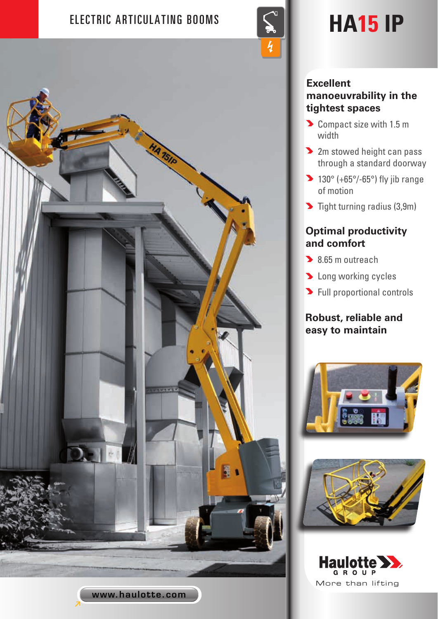# ELECTRIC ARTICULATING BOOMS  $\|\leq \|$  **HA15** IP



# **Excellent manoeuvrability in the tightest spaces**

- Compact size with 1.5 m width
- **2** 2m stowed height can pass through a standard doorway
- $\blacktriangleright$  130° (+65°/-65°) fly jib range of motion
- $\blacktriangleright$  Tight turning radius (3,9m)

# **Optimal productivity and comfort**

- 8.65 m outreach
- **D** Long working cycles
- **>** Full proportional controls

## **Robust, reliable and easy to maintain**